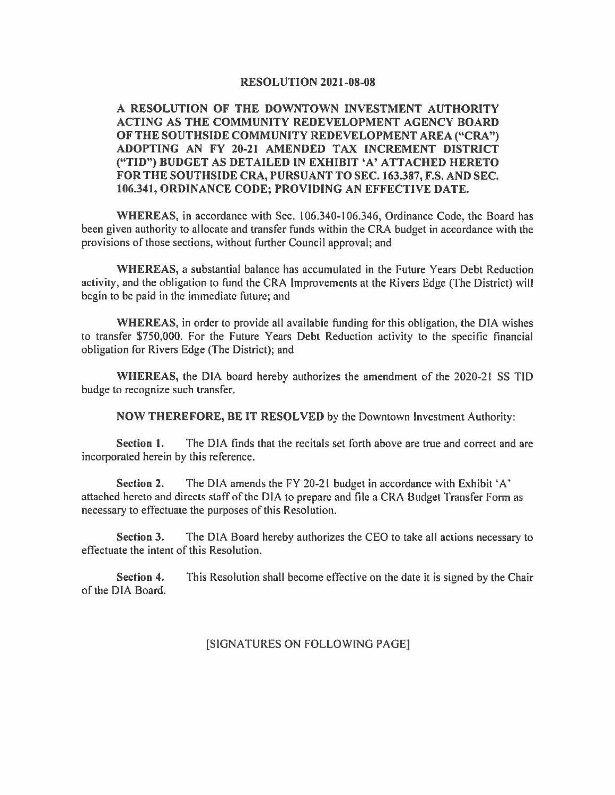#### **RESOLUTION 2021-08-08**

**A RESOLUTION OF THE DOWNTOWN INVESTMENT AUTHORITY ACTING AS THE COMMUNITY REDEVELOPMENT AGENCY BOARD OF THE SOUTHSIDE COMMUNITY REDEVELOPMENT AREA ("CRA") ADOPTING AN FY 20-21 AMENDED TAX INCREMENT DISTRICT ("TID") BUDGET AS DETAILED IN EXHIBIT 'A' ATTACHED HERETO FOR THE SOUTHSIDE CRA, PURSUANT TO SEC.163.387, F.S. AND SEC. 106.341, ORDINANCE CODE; PROVIDING AN EFFECTIVE DATE.** 

**WHEREAS,** in accordance with Sec. I 06.340-106.346, Ordinance Code, the Board has been given authority to allocate and transfer funds within the CRA budget in accordance with the provisions of those sections, without further Council approval; and

**WHEREAS,** a substantial balance has accumulated in the Future Years Debt Reduction activity, and the obligation to fund the CRA Improvements at the Rivers Edge (The District) will begin to be paid in the immediate future; and

**WHEREAS,** in order to provide all available funding for this obligation, the DIA wishes to transfer \$750,000. For the Future Years Debt Reduction activity to the specific financial obligation for Rivers Edge (The District); and

**WHEREAS,** the DIA board hereby authorizes the amendment of the 2020-21 SS TID budge to recognize such transfer.

**NOW THEREFORE, BE IT RESOLVED** by the Downtown Investment Authority:

**Section 1.** The DIA finds that the recitals set forth above are true and correct and are incorporated herein by this reference.

**Section 2.** The DIA amends the FY 20-21 budget in accordance with Exhibit 'A' attached hereto and directs staff of the DIA to prepare and file a CRA Budget Transfer Form as necessary to effectuate the purposes of this Resolution.

**Section 3.** The DIA Board hereby authorizes the CEO to take all actions necessary to effectuate the intent of this Resolution.

**Section 4.** This Resolution shall become effective on the date it is signed by the Chair of the DIA Board.

#### [SIGNATURES ON FOLLOWING PAGE]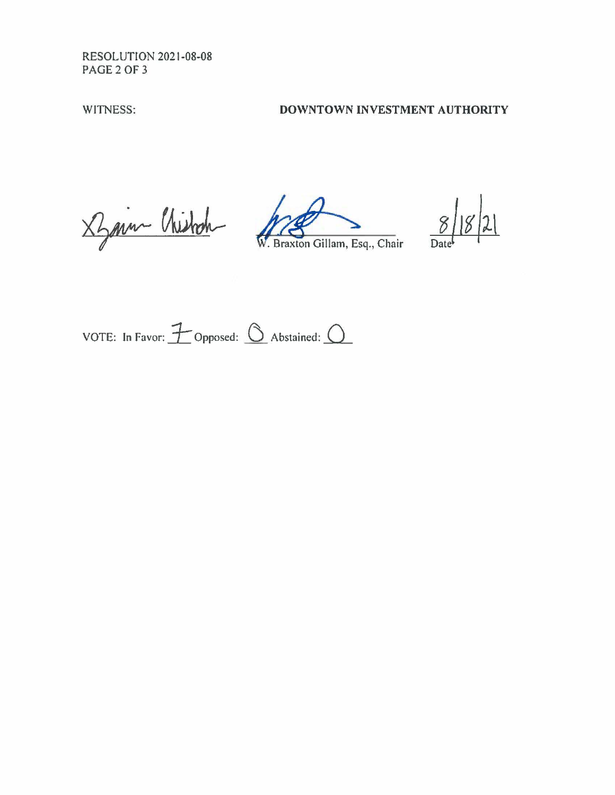RESOLUTION 2021-08-08 PAGE2 OF 3

# WITNESS: **DOWNTOWN INVESTMENT AUTHORITY**

X Sprin Chistoch W. Braxton Gillam, Esq., Chair

 $|2|$  $\frac{8}{\text{Date}}$ 

VOTE: In Favor:  $\overline{\mathcal{F}}$  Opposed:  $\circled{0}$  Abstained:  $\circlearrowleft$